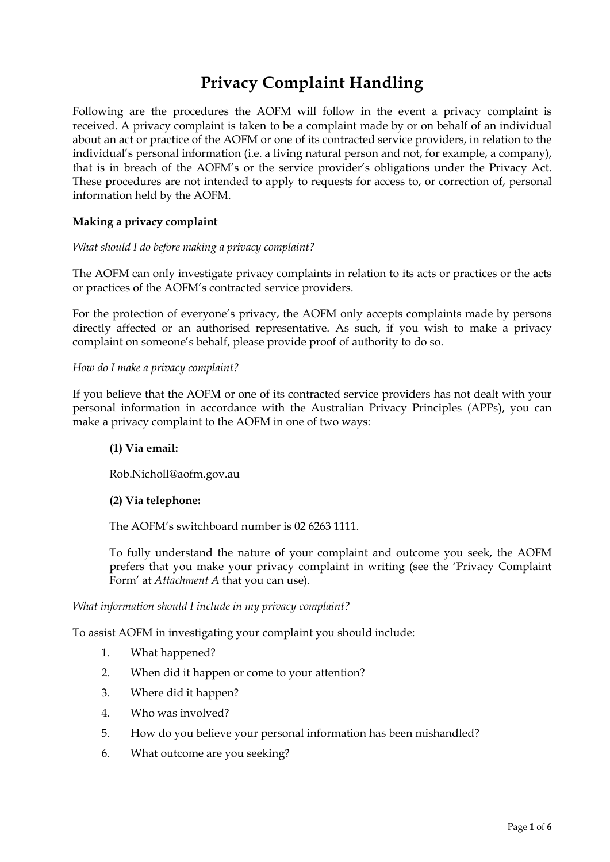# **Privacy Complaint Handling**

Following are the procedures the AOFM will follow in the event a privacy complaint is received. A privacy complaint is taken to be a complaint made by or on behalf of an individual about an act or practice of the AOFM or one of its contracted service providers, in relation to the individual's personal information (i.e. a living natural person and not, for example, a company), that is in breach of the AOFM's or the service provider's obligations under the Privacy Act. These procedures are not intended to apply to requests for access to, or correction of, personal information held by the AOFM.

## **Making a privacy complaint**

#### *What should I do before making a privacy complaint?*

The AOFM can only investigate privacy complaints in relation to its acts or practices or the acts or practices of the AOFM's contracted service providers.

For the protection of everyone's privacy, the AOFM only accepts complaints made by persons directly affected or an authorised representative. As such, if you wish to make a privacy complaint on someone's behalf, please provide proof of authority to do so.

#### *How do I make a privacy complaint?*

If you believe that the AOFM or one of its contracted service providers has not dealt with your personal information in accordance with the Australian Privacy Principles (APPs), you can make a privacy complaint to the AOFM in one of two ways:

## **(1) Via email:**

Rob.Nicholl@aofm.gov.au

## **(2) Via telephone:**

The AOFM's switchboard number is 02 6263 1111.

To fully understand the nature of your complaint and outcome you seek, the AOFM prefers that you make your privacy complaint in writing (see the 'Privacy Complaint Form' at *Attachment A* that you can use).

#### *What information should I include in my privacy complaint?*

To assist AOFM in investigating your complaint you should include:

- 1. What happened?
- 2. When did it happen or come to your attention?
- 3. Where did it happen?
- 4. Who was involved?
- 5. How do you believe your personal information has been mishandled?
- 6. What outcome are you seeking?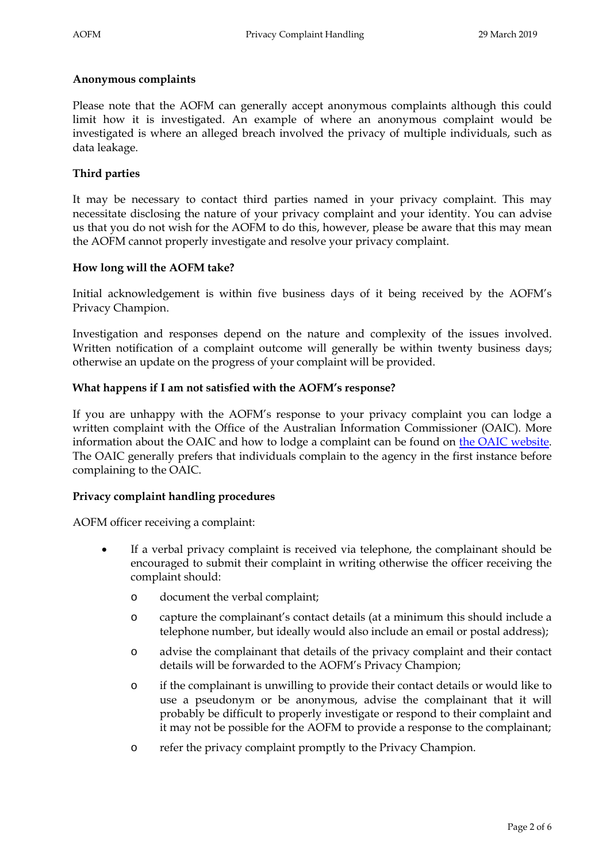#### **Anonymous complaints**

Please note that the AOFM can generally accept anonymous complaints although this could limit how it is investigated. An example of where an anonymous complaint would be investigated is where an alleged breach involved the privacy of multiple individuals, such as data leakage.

## **Third parties**

It may be necessary to contact third parties named in your privacy complaint. This may necessitate disclosing the nature of your privacy complaint and your identity. You can advise us that you do not wish for the AOFM to do this, however, please be aware that this may mean the AOFM cannot properly investigate and resolve your privacy complaint.

## **How long will the AOFM take?**

Initial acknowledgement is within five business days of it being received by the AOFM's Privacy Champion.

Investigation and responses depend on the nature and complexity of the issues involved. Written notification of a complaint outcome will generally be within twenty business days; otherwise an update on the progress of your complaint will be provided.

#### **What happens if I am not satisfied with the AOFM's response?**

If you are unhappy with the AOFM's response to your privacy complaint you can lodge a written complaint with the Office of the Australian Information Commissioner (OAIC). More information about the OAIC and how to lodge a complaint can be found on [the OAIC website.](http://www.oaic.gov.au/) The OAIC generally prefers that individuals complain to the agency in the first instance before complaining to the OAIC.

## **Privacy complaint handling procedures**

AOFM officer receiving a complaint:

- If a verbal privacy complaint is received via telephone, the complainant should be encouraged to submit their complaint in writing otherwise the officer receiving the complaint should:
	- o document the verbal complaint;
	- o capture the complainant's contact details (at a minimum this should include a telephone number, but ideally would also include an email or postal address);
	- o advise the complainant that details of the privacy complaint and their contact details will be forwarded to the AOFM's Privacy Champion;
	- o if the complainant is unwilling to provide their contact details or would like to use a pseudonym or be anonymous, advise the complainant that it will probably be difficult to properly investigate or respond to their complaint and it may not be possible for the AOFM to provide a response to the complainant;
	- o refer the privacy complaint promptly to the Privacy Champion.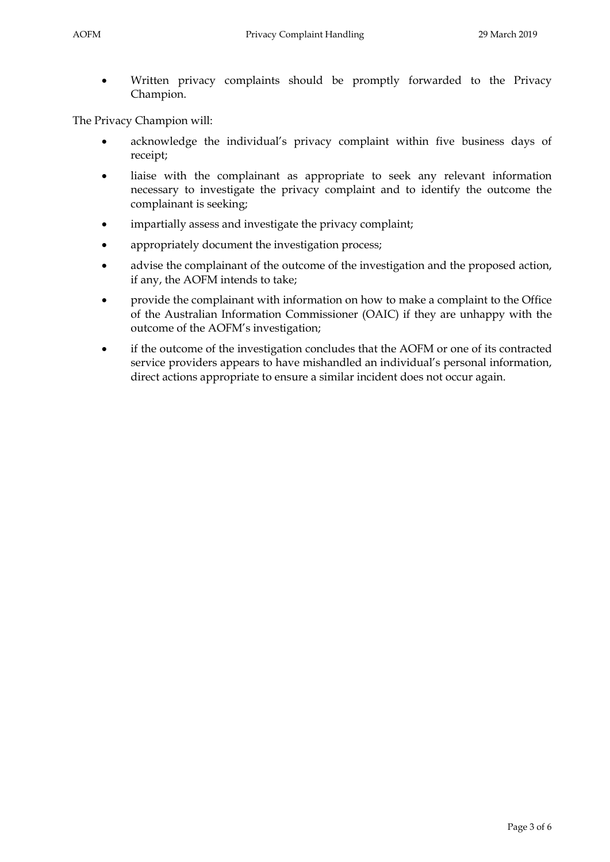Written privacy complaints should be promptly forwarded to the Privacy Champion.

The Privacy Champion will:

- acknowledge the individual's privacy complaint within five business days of receipt;
- liaise with the complainant as appropriate to seek any relevant information necessary to investigate the privacy complaint and to identify the outcome the complainant is seeking;
- impartially assess and investigate the privacy complaint;
- appropriately document the investigation process;
- advise the complainant of the outcome of the investigation and the proposed action, if any, the AOFM intends to take;
- provide the complainant with information on how to make a complaint to the Office of the Australian Information Commissioner (OAIC) if they are unhappy with the outcome of the AOFM's investigation;
- if the outcome of the investigation concludes that the AOFM or one of its contracted service providers appears to have mishandled an individual's personal information, direct actions appropriate to ensure a similar incident does not occur again.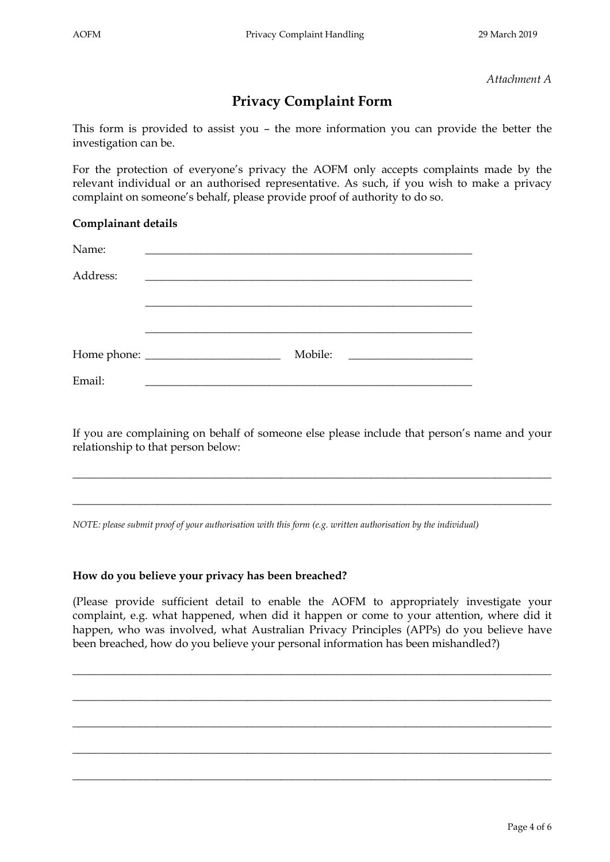*Attachment A*

## **Privacy Complaint Form**

This form is provided to assist you – the more information you can provide the better the investigation can be.

For the protection of everyone's privacy the AOFM only accepts complaints made by the relevant individual or an authorised representative. As such, if you wish to make a privacy complaint on someone's behalf, please provide proof of authority to do so.

## **Complainant details**

| Name:    |                                                           |                                                 |
|----------|-----------------------------------------------------------|-------------------------------------------------|
| Address: | <u> 1989 - Andrea Andrewski, fransk politik (d. 1989)</u> |                                                 |
|          |                                                           |                                                 |
|          |                                                           |                                                 |
|          | Mobile:                                                   | <u> 1989 - Andrea Station Barbara (h. 1989)</u> |
| Email:   |                                                           |                                                 |

If you are complaining on behalf of someone else please include that person's name and your relationship to that person below:

\_\_\_\_\_\_\_\_\_\_\_\_\_\_\_\_\_\_\_\_\_\_\_\_\_\_\_\_\_\_\_\_\_\_\_\_\_\_\_\_\_\_\_\_\_\_\_\_\_\_\_\_\_\_\_\_\_\_\_\_\_\_\_\_\_\_\_\_\_\_\_\_\_\_\_\_\_\_\_\_\_\_\_\_\_

 $\_$  ,  $\_$  ,  $\_$  ,  $\_$  ,  $\_$  ,  $\_$  ,  $\_$  ,  $\_$  ,  $\_$  ,  $\_$  ,  $\_$  ,  $\_$  ,  $\_$  ,  $\_$  ,  $\_$  ,  $\_$  ,  $\_$  ,  $\_$  ,  $\_$  ,  $\_$  ,  $\_$  ,  $\_$  ,  $\_$  ,  $\_$  ,  $\_$  ,  $\_$  ,  $\_$  ,  $\_$  ,  $\_$  ,  $\_$  ,  $\_$  ,  $\_$  ,  $\_$  ,  $\_$  ,  $\_$  ,  $\_$  ,  $\_$  ,

*NOTE: please submit proof of your authorisation with this form (e.g. written authorisation by the individual)*

## **How do you believe your privacy has been breached?**

(Please provide sufficient detail to enable the AOFM to appropriately investigate your complaint, e.g. what happened, when did it happen or come to your attention, where did it happen, who was involved, what Australian Privacy Principles (APPs) do you believe have been breached, how do you believe your personal information has been mishandled?)

\_\_\_\_\_\_\_\_\_\_\_\_\_\_\_\_\_\_\_\_\_\_\_\_\_\_\_\_\_\_\_\_\_\_\_\_\_\_\_\_\_\_\_\_\_\_\_\_\_\_\_\_\_\_\_\_\_\_\_\_\_\_\_\_\_\_\_\_\_\_\_\_\_\_\_\_\_\_\_\_\_\_\_\_\_

\_\_\_\_\_\_\_\_\_\_\_\_\_\_\_\_\_\_\_\_\_\_\_\_\_\_\_\_\_\_\_\_\_\_\_\_\_\_\_\_\_\_\_\_\_\_\_\_\_\_\_\_\_\_\_\_\_\_\_\_\_\_\_\_\_\_\_\_\_\_\_\_\_\_\_\_\_\_\_\_\_\_\_\_\_

 $\_$  ,  $\_$  ,  $\_$  ,  $\_$  ,  $\_$  ,  $\_$  ,  $\_$  ,  $\_$  ,  $\_$  ,  $\_$  ,  $\_$  ,  $\_$  ,  $\_$  ,  $\_$  ,  $\_$  ,  $\_$  ,  $\_$  ,  $\_$  ,  $\_$  ,  $\_$  ,  $\_$  ,  $\_$  ,  $\_$  ,  $\_$  ,  $\_$  ,  $\_$  ,  $\_$  ,  $\_$  ,  $\_$  ,  $\_$  ,  $\_$  ,  $\_$  ,  $\_$  ,  $\_$  ,  $\_$  ,  $\_$  ,  $\_$  ,

\_\_\_\_\_\_\_\_\_\_\_\_\_\_\_\_\_\_\_\_\_\_\_\_\_\_\_\_\_\_\_\_\_\_\_\_\_\_\_\_\_\_\_\_\_\_\_\_\_\_\_\_\_\_\_\_\_\_\_\_\_\_\_\_\_\_\_\_\_\_\_\_\_\_\_\_\_\_\_\_\_\_\_\_\_

 $\_$  ,  $\_$  ,  $\_$  ,  $\_$  ,  $\_$  ,  $\_$  ,  $\_$  ,  $\_$  ,  $\_$  ,  $\_$  ,  $\_$  ,  $\_$  ,  $\_$  ,  $\_$  ,  $\_$  ,  $\_$  ,  $\_$  ,  $\_$  ,  $\_$  ,  $\_$  ,  $\_$  ,  $\_$  ,  $\_$  ,  $\_$  ,  $\_$  ,  $\_$  ,  $\_$  ,  $\_$  ,  $\_$  ,  $\_$  ,  $\_$  ,  $\_$  ,  $\_$  ,  $\_$  ,  $\_$  ,  $\_$  ,  $\_$  ,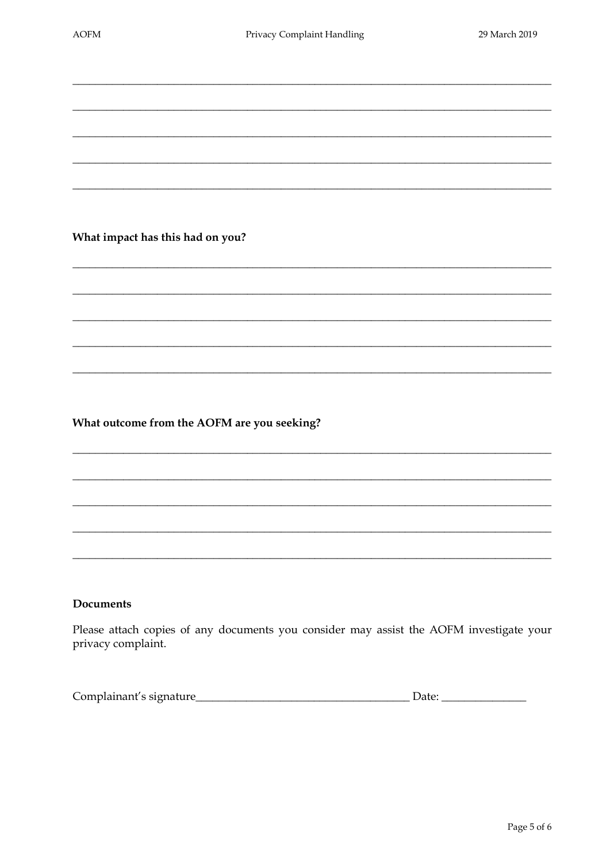## What impact has this had on you?

## What outcome from the AOFM are you seeking?

## **Documents**

Please attach copies of any documents you consider may assist the AOFM investigate your privacy complaint.

| Complainant's signature | Jate |
|-------------------------|------|
|                         |      |